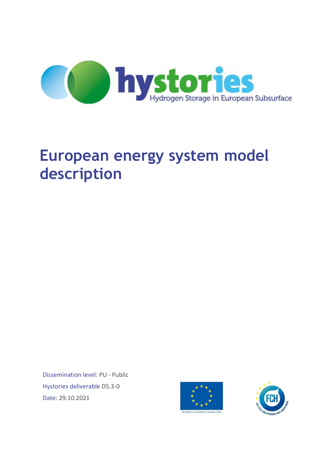

# **European energy system model description**

Dissemination level: PU - Public Hystories deliverable D5.3-0 Date: 29.10.2021



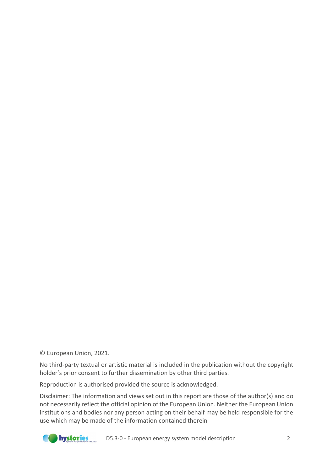© European Union, 2021.

No third-party textual or artistic material is included in the publication without the copyright holder's prior consent to further dissemination by other third parties.

Reproduction is authorised provided the source is acknowledged.

Disclaimer: The information and views set out in this report are those of the author(s) and do not necessarily reflect the official opinion of the European Union. Neither the European Union institutions and bodies nor any person acting on their behalf may be held responsible for the use which may be made of the information contained therein

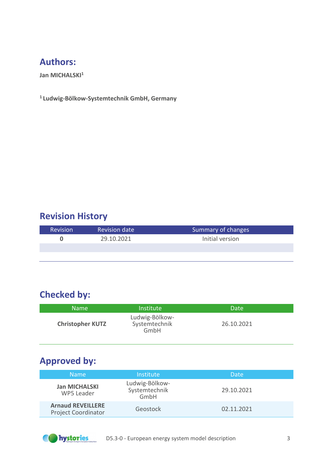#### **Authors:**

**Jan MICHALSKI<sup>1</sup>**

**<sup>1</sup>Ludwig-Bölkow-Systemtechnik GmbH, Germany**

#### **Revision History**

| <b>Revision</b> | Revision date | Summary of changes |
|-----------------|---------------|--------------------|
|                 | 29.10.2021    | Initial version    |
|                 |               |                    |
|                 |               |                    |

### **Checked by:**

| <b>Name</b>             | <i>Institute</i>                        | Date       |  |
|-------------------------|-----------------------------------------|------------|--|
| <b>Christopher KUTZ</b> | Ludwig-Bölkow-<br>Systemtechnik<br>GmbH | 26.10.2021 |  |

### **Approved by:**

| <b>Name</b>                                            | <i><u><b>Institute</b></u></i>          | Date       |
|--------------------------------------------------------|-----------------------------------------|------------|
| <b>Jan MICHALSKI</b><br>WP5 Leader                     | Ludwig-Bölkow-<br>Systemtechnik<br>GmbH | 29.10.2021 |
| <b>Arnaud REVEILLERE</b><br><b>Project Coordinator</b> | Geostock                                | 02.11.2021 |

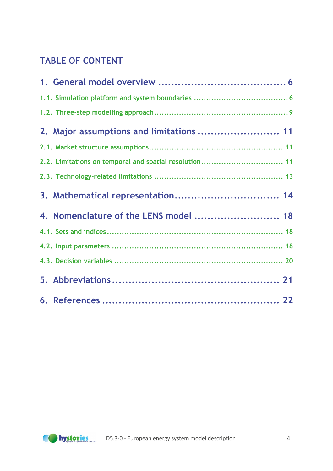### **TABLE OF CONTENT**

| 2. Major assumptions and limitations  11               |
|--------------------------------------------------------|
|                                                        |
| 2.2. Limitations on temporal and spatial resolution 11 |
|                                                        |
| 3. Mathematical representation 14                      |
| 4. Nomenclature of the LENS model  18                  |
|                                                        |
|                                                        |
|                                                        |
|                                                        |
|                                                        |

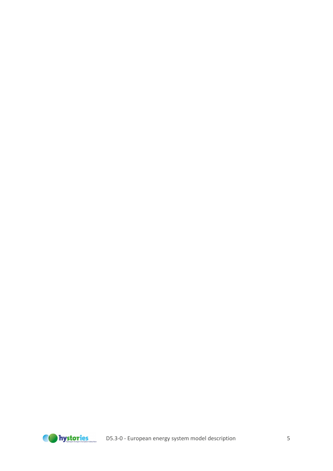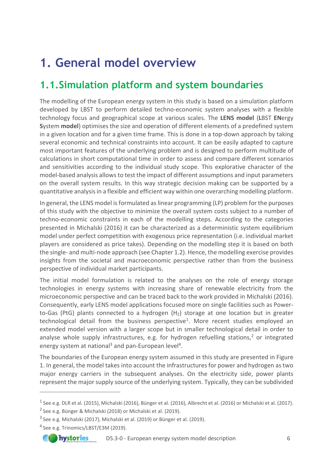# <span id="page-5-0"></span>**1. General model overview**

### <span id="page-5-1"></span>**1.1.Simulation platform and system boundaries**

The modelling of the European energy system in this study is based on a simulation platform developed by LBST to perform detailed techno-economic system analyses with a flexible technology focus and geographical scope at various scales. The **LENS model** (**L**BST **EN**ergy **S**ystem **model**) optimises the size and operation of different elements of a predefined system in a given location and for a given time frame. This is done in a top-down approach by taking several economic and technical constraints into account. It can be easily adapted to capture most important features of the underlying problem and is designed to perform multitude of calculations in short computational time in order to assess and compare different scenarios and sensitivities according to the individual study scope. This explorative character of the model-based analysis allows to test the impact of different assumptions and input parameters on the overall system results. In this way strategic decision making can be supported by a quantitative analysis in a flexible and efficient way within one overarching modelling platform.

In general, the LENS model is formulated as linear programming (LP) problem for the purposes of this study with the objective to minimize the overall system costs subject to a number of techno-economic constraints in each of the modelling steps. According to the categories presented in Michalski (2016) it can be characterized as a deterministic system equilibrium model under perfect competition with exogenous price representation (i.e. individual market players are considered as price takes). Depending on the modelling step it is based on both the single- and multi-node approach (see Chapte[r 1.2\)](#page-8-0). Hence, the modelling exercise provides insights from the societal and macroeconomic perspective rather than from the business perspective of individual market participants.

The initial model formulation is related to the analyses on the role of energy storage technologies in energy systems with increasing share of renewable electricity from the microeconomic perspective and can be traced back to the work provided in Michalski (2016). Consequently, early LENS model applications focused more on single facilities such as Powerto-Gas (PtG) plants connected to a hydrogen (H2) storage at one location but in greater technological detail from the business perspective<sup>1</sup>. More recent studies employed an extended model version with a larger scope but in smaller technological detail in order to analyse whole supply infrastructures, e.g. for hydrogen refuelling stations,<sup>2</sup> or integrated energy system at national<sup>3</sup> and pan-European level<sup>4</sup>.

The boundaries of the European energy system assumed in this study are presented in [Figure](#page-6-0)  [1.](#page-6-0) In general, the model takes into account the infrastructures for power and hydrogen as two major energy carriers in the subsequent analyses. On the electricity side, power plants represent the major supply source of the underlying system. Typically, they can be subdivided

<sup>&</sup>lt;sup>4</sup> See e.g. Trinomics/LBST/E3M (2019).



 $^1$  See e.g. DLR et al. (2015), Michalski (2016), Bünger et al. (2016), Albrecht et al. (2016) or Michalski et al. (2017). <sup>2</sup> See e.g. Bünger & Michalski (2018) or Michalski et al. (2019).

<sup>&</sup>lt;sup>3</sup> See e.g. Michalski (2017), Michalski et al. (2019) or Bünger et al. (2019).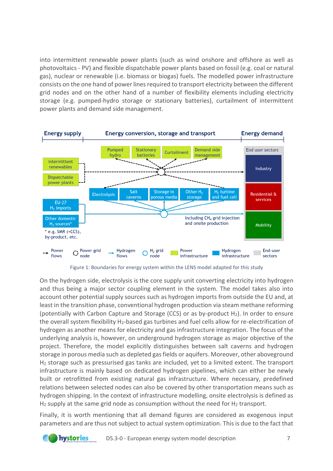into intermittent renewable power plants (such as wind onshore and offshore as well as photovoltaics - PV) and flexible dispatchable power plants based on fossil (e.g. coal or natural gas), nuclear or renewable (i.e. biomass or biogas) fuels. The modelled power infrastructure consists on the one hand of power lines required to transport electricity between the different grid nodes and on the other hand of a number of flexibility elements including electricity storage (e.g. pumped-hydro storage or stationary batteries), curtailment of intermittent power plants and demand side management.



Figure 1: Boundaries for energy system within the LENS model adapted for this study

<span id="page-6-0"></span>On the hydrogen side, electrolysis is the core supply unit converting electricity into hydrogen and thus being a major sector coupling element in the system. The model takes also into account other potential supply sources such as hydrogen imports from outside the EU and, at least in the transition phase, conventional hydrogen production via steam methane reforming (potentially with Carbon Capture and Storage (CCS) or as by-product H2). In order to ensure the overall system flexibility H<sub>2</sub>-based gas turbines and fuel cells allow for re-electrification of hydrogen as another means for electricity and gas infrastructure integration. The focus of the underlying analysis is, however, on underground hydrogen storage as major objective of the project. Therefore, the model explicitly distinguishes between salt caverns and hydrogen storage in porous media such as depleted gas fields or aquifers. Moreover, other aboveground H<sup>2</sup> storage such as pressurised gas tanks are included, yet to a limited extent. The transport infrastructure is mainly based on dedicated hydrogen pipelines, which can either be newly built or retrofitted from existing natural gas infrastructure. Where necessary, predefined relations between selected nodes can also be covered by other transportation means such as hydrogen shipping. In the context of infrastructure modelling, onsite electrolysis is defined as  $H_2$  supply at the same grid node as consumption without the need for  $H_2$  transport.

Finally, it is worth mentioning that all demand figures are considered as exogenous input parameters and are thus not subject to actual system optimization. This is due to the fact that

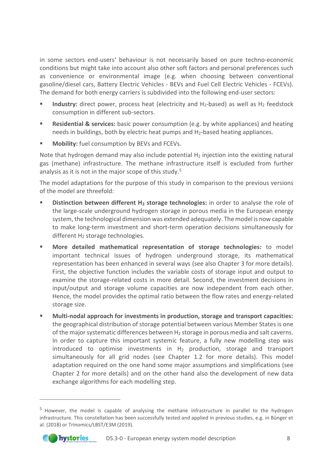in some sectors end-users' behaviour is not necessarily based on pure techno-economic conditions but might take into account also other soft factors and personal preferences such as convenience or environmental image (e.g. when choosing between conventional gasoline/diesel cars, Battery Electric Vehicles - BEVs and Fuel Cell Electric Vehicles - FCEVs). The demand for both energy carriers is subdivided into the following end-user sectors:

- Industry: direct power, process heat (electricity and H<sub>2</sub>-based) as well as H<sub>2</sub> feedstock consumption in different sub-sectors.
- **Residential & services:** basic power consumption (e.g. by white appliances) and heating needs in buildings, both by electric heat pumps and H2-based heating appliances.
- **Mobility:** fuel consumption by BEVs and FCEVs.

Note that hydrogen demand may also include potential  $H_2$  injection into the existing natural gas (methane) infrastructure. The methane infrastructure itself is excluded from further analysis as it is not in the major scope of this study.<sup>5</sup>

The model adaptations for the purpose of this study in comparison to the previous versions of the model are threefold:

- **Distinction between different H<sub>2</sub> storage technologies:** in order to analyse the role of the large-scale underground hydrogen storage in porous media in the European energy system, the technological dimension was extended adequately. The model is now capable to make long-term investment and short-term operation decisions simultaneously for different H<sub>2</sub> storage technologies.
- **More detailed mathematical representation of storage technologies:** to model important technical issues of hydrogen underground storage, its mathematical representation has been enhanced in several ways (see also Chapter [3](#page-13-0) for more details). First, the objective function includes the variable costs of storage input and output to examine the storage-related costs in more detail. Second, the investment decisions in input/output and storage volume capacities are now independent from each other. Hence, the model provides the optimal ratio between the flow rates and energy-related storage size.
- **Multi-nodal approach for investments in production, storage and transport capacities:** the geographical distribution of storage potential between various Member States is one of the major systematic differences between H<sup>2</sup> storage in porous media and salt caverns. In order to capture this important systemic feature, a fully new modelling step was introduced to optimise investments in  $H_2$  production, storage and transport simultaneously for all grid nodes (see Chapter [1.2](#page-8-0) for more details). This model adaptation required on the one hand some major assumptions and simplifications (see Chapter [2](#page-10-0) for more details) and on the other hand also the development of new data exchange algorithms for each modelling step.

<sup>5</sup> However, the model is capable of analysing the methane infrastructure in parallel to the hydrogen infrastructure. This constellation has been successfully tested and applied in previous studies, e.g. in Bünger et al. (2018) or Trinomics/LBST/E3M (2019).

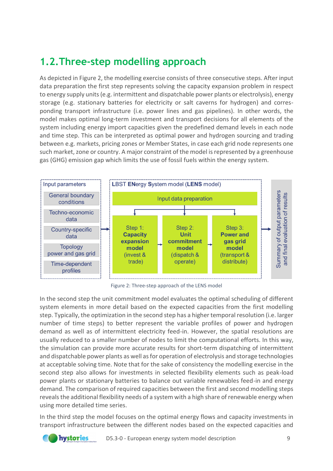### <span id="page-8-0"></span>**1.2.Three-step modelling approach**

As depicted i[n Figure 2,](#page-8-1) the modelling exercise consists of three consecutive steps. After input data preparation the first step represents solving the capacity expansion problem in respect to energy supply units (e.g. intermittent and dispatchable power plants or electrolysis), energy storage (e.g. stationary batteries for electricity or salt caverns for hydrogen) and corresponding transport infrastructure (i.e. power lines and gas pipelines). In other words, the model makes optimal long-term investment and transport decisions for all elements of the system including energy import capacities given the predefined demand levels in each node and time step. This can be interpreted as optimal power and hydrogen sourcing and trading between e.g. markets, pricing zones or Member States, in case each grid node represents one such market, zone or country. A major constraint of the model is represented by a greenhouse gas (GHG) emission gap which limits the use of fossil fuels within the energy system.



Figure 2: Three-step approach of the LENS model

<span id="page-8-1"></span>In the second step the unit commitment model evaluates the optimal scheduling of different system elements in more detail based on the expected capacities from the first modelling step. Typically, the optimization in the second step has a higher temporal resolution (i.e. larger number of time steps) to better represent the variable profiles of power and hydrogen demand as well as of intermittent electricity feed-in. However, the spatial resolutions are usually reduced to a smaller number of nodes to limit the computational efforts. In this way, the simulation can provide more accurate results for short-term dispatching of intermittent and dispatchable power plants as well as for operation of electrolysis and storage technologies at acceptable solving time. Note that for the sake of consistency the modelling exercise in the second step also allows for investments in selected flexibility elements such as peak-load power plants or stationary batteries to balance out variable renewables feed-in and energy demand. The comparison of required capacities between the first and second modelling steps reveals the additional flexibility needs of a system with a high share of renewable energy when using more detailed time series.

In the third step the model focuses on the optimal energy flows and capacity investments in transport infrastructure between the different nodes based on the expected capacities and



D5.3-0 - European energy system model description 9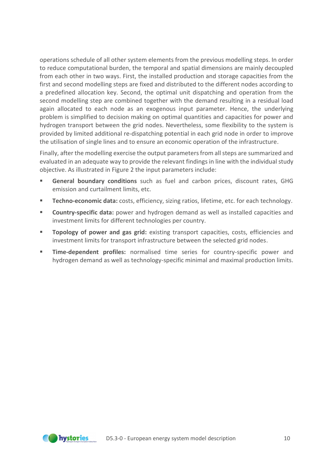operations schedule of all other system elements from the previous modelling steps. In order to reduce computational burden, the temporal and spatial dimensions are mainly decoupled from each other in two ways. First, the installed production and storage capacities from the first and second modelling steps are fixed and distributed to the different nodes according to a predefined allocation key. Second, the optimal unit dispatching and operation from the second modelling step are combined together with the demand resulting in a residual load again allocated to each node as an exogenous input parameter. Hence, the underlying problem is simplified to decision making on optimal quantities and capacities for power and hydrogen transport between the grid nodes. Nevertheless, some flexibility to the system is provided by limited additional re-dispatching potential in each grid node in order to improve the utilisation of single lines and to ensure an economic operation of the infrastructure.

Finally, after the modelling exercise the output parameters from all steps are summarized and evaluated in an adequate way to provide the relevant findings in line with the individual study objective. As illustrated i[n Figure 2](#page-8-1) the input parameters include:

- **General boundary conditions** such as fuel and carbon prices, discount rates, GHG emission and curtailment limits, etc.
- **EXECT** Techno-economic data: costs, efficiency, sizing ratios, lifetime, etc. for each technology.
- **EXEDENTIFY-Specific data:** power and hydrogen demand as well as installed capacities and investment limits for different technologies per country.
- **Topology of power and gas grid:** existing transport capacities, costs, efficiencies and investment limits for transport infrastructure between the selected grid nodes.
- **Time-dependent profiles:** normalised time series for country-specific power and hydrogen demand as well as technology-specific minimal and maximal production limits.

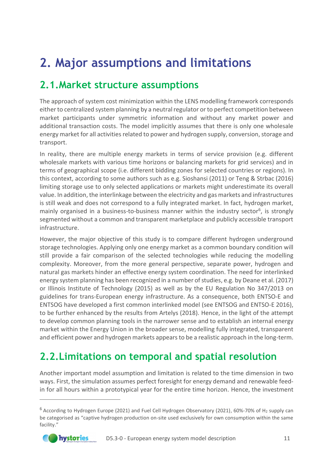# <span id="page-10-0"></span>**2. Major assumptions and limitations**

### <span id="page-10-1"></span>**2.1.Market structure assumptions**

The approach of system cost minimization within the LENS modelling framework corresponds either to centralized system planning by a neutral regulator or to perfect competition between market participants under symmetric information and without any market power and additional transaction costs. The model implicitly assumes that there is only one wholesale energy market for all activities related to power and hydrogen supply, conversion, storage and transport.

In reality, there are multiple energy markets in terms of service provision (e.g. different wholesale markets with various time horizons or balancing markets for grid services) and in terms of geographical scope (i.e. different bidding zones for selected countries or regions). In this context, according to some authors such as e.g. Sioshansi (2011) or Teng & Strbac (2016) limiting storage use to only selected applications or markets might underestimate its overall value. In addition, the interlinkage between the electricity and gas markets and infrastructures is still weak and does not correspond to a fully integrated market. In fact, hydrogen market, mainly organised in a business-to-business manner within the industry sector<sup>6</sup>, is strongly segmented without a common and transparent marketplace and publicly accessible transport infrastructure.

However, the major objective of this study is to compare different hydrogen underground storage technologies. Applying only one energy market as a common boundary condition will still provide a fair comparison of the selected technologies while reducing the modelling complexity. Moreover, from the more general perspective, separate power, hydrogen and natural gas markets hinder an effective energy system coordination. The need for interlinked energy system planning has been recognized in a number of studies, e.g. by Deane et al. (2017) or Illinois Institute of Technology (2015) as well as by the EU Regulation No 347/2013 on guidelines for trans-European energy infrastructure. As a consequence, both ENTSO-E and ENTSOG have developed a first common interlinked model (see ENTSOG and ENTSO-E 2016), to be further enhanced by the results from Artelys (2018). Hence, in the light of the attempt to develop common planning tools in the narrower sense and to establish an internal energy market within the Energy Union in the broader sense, modelling fully integrated, transparent and efficient power and hydrogen markets appears to be a realistic approach in the long-term.

## <span id="page-10-2"></span>**2.2.Limitations on temporal and spatial resolution**

Another important model assumption and limitation is related to the time dimension in two ways. First, the simulation assumes perfect foresight for energy demand and renewable feedin for all hours within a prototypical year for the entire time horizon. Hence, the investment

 $6$  According to Hydrogen Europe (2021) and Fuel Cell Hydrogen Observatory (2021), 60%-70% of H<sub>2</sub> supply can be categorised as "captive hydrogen production on-site used exclusively for own consumption within the same facility."

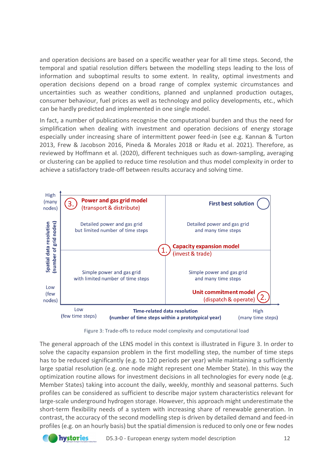and operation decisions are based on a specific weather year for all time steps. Second, the temporal and spatial resolution differs between the modelling steps leading to the loss of information and suboptimal results to some extent. In reality, optimal investments and operation decisions depend on a broad range of complex systemic circumstances and uncertainties such as weather conditions, planned and unplanned production outages, consumer behaviour, fuel prices as well as technology and policy developments, etc., which can be hardly predicted and implemented in one single model.

In fact, a number of publications recognise the computational burden and thus the need for simplification when dealing with investment and operation decisions of energy storage especially under increasing share of intermittent power feed-in (see e.g. Kannan & Turton 2013, Frew & Jacobson 2016, Pineda & Morales 2018 or Radu et al. 2021). Therefore, as reviewed by Hoffmann et al. (2020), different techniques such as down-sampling, averaging or clustering can be applied to reduce time resolution and thus model complexity in order to achieve a satisfactory trade-off between results accuracy and solving time.



Figure 3: Trade-offs to reduce model complexity and computational load

<span id="page-11-0"></span>The general approach of the LENS model in this context is illustrated in [Figure 3.](#page-11-0) In order to solve the capacity expansion problem in the first modelling step, the number of time steps has to be reduced significantly (e.g. to 120 periods per year) while maintaining a sufficiently large spatial resolution (e.g. one node might represent one Member State). In this way the optimization routine allows for investment decisions in all technologies for every node (e.g. Member States) taking into account the daily, weekly, monthly and seasonal patterns. Such profiles can be considered as sufficient to describe major system characteristics relevant for large-scale underground hydrogen storage. However, this approach might underestimate the short-term flexibility needs of a system with increasing share of renewable generation. In contrast, the accuracy of the second modelling step is driven by detailed demand and feed-in profiles (e.g. on an hourly basis) but the spatial dimension is reduced to only one or few nodes

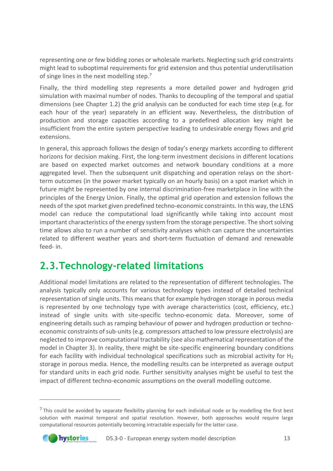representing one or few bidding zones or wholesale markets. Neglecting such grid constraints might lead to suboptimal requirements for grid extension and thus potential underutilisation of singe lines in the next modelling step.<sup>7</sup>

Finally, the third modelling step represents a more detailed power and hydrogen grid simulation with maximal number of nodes. Thanks to decoupling of the temporal and spatial dimensions (see Chapter [1.2\)](#page-8-0) the grid analysis can be conducted for each time step (e.g. for each hour of the year) separately in an efficient way. Nevertheless, the distribution of production and storage capacities according to a predefined allocation key might be insufficient from the entire system perspective leading to undesirable energy flows and grid extensions.

In general, this approach follows the design of today's energy markets according to different horizons for decision making. First, the long-term investment decisions in different locations are based on expected market outcomes and network boundary conditions at a more aggregated level. Then the subsequent unit dispatching and operation relays on the shortterm outcomes (in the power market typically on an hourly basis) on a spot market which in future might be represented by one internal discrimination-free marketplace in line with the principles of the Energy Union. Finally, the optimal grid operation and extension follows the needs of the spot market given predefined techno-economic constraints. In this way, the LENS model can reduce the computational load significantly while taking into account most important characteristics of the energy system from the storage perspective. The short solving time allows also to run a number of sensitivity analyses which can capture the uncertainties related to different weather years and short-term fluctuation of demand and renewable feed- in.

### <span id="page-12-0"></span>**2.3.Technology-related limitations**

Additional model limitations are related to the representation of different technologies. The analysis typically only accounts for various technology types instead of detailed technical representation of single units. This means that for example hydrogen storage in porous media is represented by one technology type with average characteristics (cost, efficiency, etc.) instead of single units with site-specific techno-economic data. Moreover, some of engineering details such as ramping behaviour of power and hydrogen production or technoeconomic constraints of sub-units (e.g. compressors attached to low pressure electrolysis) are neglected to improve computational tractability (see also mathematical representation of the model in Chapter [3\)](#page-13-0). In reality, there might be site-specific engineering boundary conditions for each facility with individual technological specifications such as microbial activity for  $H_2$ storage in porous media. Hence, the modelling results can be interpreted as average output for standard units in each grid node. Further sensitivity analyses might be useful to test the impact of different techno-economic assumptions on the overall modelling outcome.

 $^7$  This could be avoided by separate flexibility planning for each individual node or by modelling the first best solution with maximal temporal and spatial resolution. However, both approaches would require large computational resources potentially becoming intractable especially for the latter case.

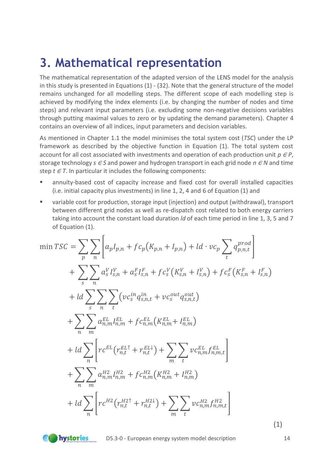# <span id="page-13-0"></span>**3. Mathematical representation**

The mathematical representation of the adapted version of the LENS model for the analysis in this study is presented in Equations (1) - (32). Note that the general structure of the model remains unchanged for all modelling steps. The different scope of each modelling step is achieved by modifying the index elements (i.e. by changing the number of nodes and time steps) and relevant input parameters (i.e. excluding some non-negative decisions variables through putting maximal values to zero or by updating the demand parameters). Chapter [4](#page-17-0) contains an overview of all indices, input parameters and decision variables.

As mentioned in Chapter [1.1](#page-5-1) the model minimises the total system cost (*TSC*) under the LP framework as described by the objective function in Equation (1). The total system cost account for all cost associated with investments and operation of each production unit  $p \in P$ , storage technology *s* <sup>∈</sup> *S* and power and hydrogen transport in each grid node *n* <sup>∈</sup> *N* and time step  $t \in T$ . In particular it includes the following components:

- annuity-based cost of capacity increase and fixed cost for overall installed capacities (i.e. initial capacity plus investments) in line 1, 2, 4 and 6 of Equation (1) and
- variable cost for production, storage input (injection) and output (withdrawal), transport between different grid nodes as well as re-dispatch cost related to both energy carriers taking into account the constant load duration *ld* of each time period in line 1, 3, 5 and 7 of Equation (1).

$$
\min TSC = \sum_{p} \sum_{n} \left[ a_p I_{p,n} + f c_p (K_{p,n} + I_{p,n}) + Id \cdot v c_p \sum_{t} q_{p,n,t}^{prod} \right]
$$
  
+ 
$$
\sum_{s} \sum_{n} a_s^V I_{s,n}^V + a_s^F I_{s,n}^F + f c_s^V (K_{s,n}^V + I_{s,n}^V) + f c_s^F (K_{s,n}^F + I_{s,n}^F)
$$
  
+ 
$$
Id \sum_{s} \sum_{n} \sum_{t} (v c_s^{in} q_{s,n,t}^{in} + v c_s^{out} q_{s,n,t}^{out})
$$
  
+ 
$$
\sum_{n} \sum_{m} a_{n,m}^{EL} I_{n,m}^{EL} + f c_{n,m}^{EL} (K_{n,m}^{EL} + I_{n,m}^{EL})
$$
  
+ 
$$
Id \sum_{n} \left[ r c^{EL} (r_{n,t}^{EL\dagger} + r_{n,t}^{EL\dagger}) + \sum_{m} \sum_{t} v c_{n,m}^{EL} f_{n,m,t}^{EL} \right]
$$
  
+ 
$$
\sum_{n} \sum_{m} a_{n,m}^{H2} I_{n,m}^{H2} + f c_{n,m}^{H2} (K_{n,m}^{H2} + I_{n,m}^{H2})
$$
  
+ 
$$
Id \sum_{n} \left[ r c^{H2} (r_{n,t}^{H2\dagger} + r_{n,t}^{H2\dagger}) + \sum_{m} \sum_{t} v c_{n,m}^{H2} f_{n,m,t}^{H2} \right]
$$
(1)



#### D5.3-0 - European energy system model description 14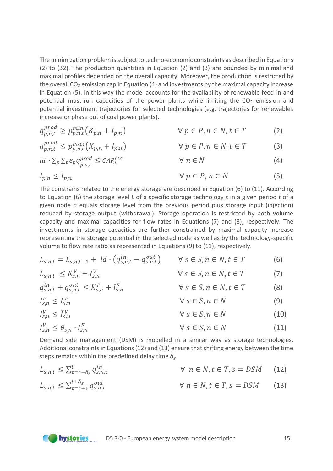The minimization problem is subject to techno-economic constraints as described in Equations (2) to (32). The production quantities in Equation (2) and (3) are bounded by minimal and maximal profiles depended on the overall capacity. Moreover, the production is restricted by the overall  $CO<sub>2</sub>$  emission cap in Equation (4) and investments by the maximal capacity increase in Equation (5). In this way the model accounts for the availability of renewable feed-in and potential must-run capacities of the power plants while limiting the  $CO<sub>2</sub>$  emission and potential investment trajectories for selected technologies (e.g. trajectories for renewables increase or phase out of coal power plants).

$$
q_{p,n,t}^{prod} \ge p_{p,n,t}^{min}(K_{p,n} + I_{p,n}) \qquad \forall p \in P, n \in N, t \in T
$$
 (2)

$$
q_{p,n,t}^{prod} \le p_{p,n,t}^{max}(K_{p,n} + I_{p,n}) \qquad \forall p \in P, n \in N, t \in T
$$
 (3)

$$
ld \cdot \Sigma_p \Sigma_t \varepsilon_p q_{p,n,t}^{prod} \leq CAP_n^{CO2} \qquad \qquad \forall \ n \in N \tag{4}
$$

$$
I_{p,n} \le \bar{I}_{p,n} \qquad \qquad \forall \ p \in P, n \in N \tag{5}
$$

The constrains related to the energy storage are described in Equation (6) to (11). According to Equation (6) the storage level *L* of a specific storage technology *s* in a given period *t* of a given node *n* equals storage level from the previous period plus storage input (injection) reduced by storage output (withdrawal). Storage operation is restricted by both volume capacity and maximal capacities for flow rates in Equations (7) and (8), respectively. The investments in storage capacities are further constrained by maximal capacity increase representing the storage potential in the selected node as well as by the technology-specific volume to flow rate ratio as represented in Equations (9) to (11), respectively.

| $L_{s,n,t} = L_{s,n,t-1} + ld \cdot (q_{s,n,t}^{in} - q_{s,n,t}^{out})$ | $\forall s \in S, n \in N, t \in T$           | (6) |
|-------------------------------------------------------------------------|-----------------------------------------------|-----|
| $I = V^V + I^V$                                                         | $H \circ \subset C$ $m \subset M + \subset T$ | 17) |

$$
L_{s,n,t} \le K_{s,n}^V + I_{s,n}^V
$$
  
\n
$$
q_{s,n,t}^{in} + q_{s,n,t}^{out} \le K_{s,n}^F + I_{s,n}^F
$$
  
\n
$$
V s \in S, n \in N, t \in T
$$
  
\n
$$
V s \in S, n \in N, t \in T
$$
  
\n
$$
V s \in S, n \in N, t \in T
$$
  
\n(3)  
\n
$$
V s \in S, n \in N, t \in T
$$
  
\n(4)  
\n
$$
V s \in S, n \in N, t \in T
$$
  
\n(5)  
\n
$$
V s \in S, n \in N, t \in T
$$
  
\n(6)  
\n
$$
V s \in S, n \in N, t \in T
$$
  
\n(7)  
\n
$$
V s \in S, n \in N, t \in T
$$
  
\n(8)

$$
I_{S,n}^V \le \bar{I}_{S,n}^V
$$
  
\n
$$
I_{S,n}^V \le \bar{I}_{S,n}^V
$$
  
\n
$$
I_{S,n}^V \le \theta_{S,n} \cdot I_{S,n}^F
$$
  
\n
$$
\forall s \in S, n \in N
$$
  
\n
$$
\forall s \in S, n \in N
$$
  
\n(10)

Demand side management (DSM) is modelled in a similar way as storage technologies. Additional constraints in Equations (12) and (13) ensure that shifting energy between the time steps remains within the predefined delay time  $\delta_{s}.$ 

$$
L_{s,n,t} \le \sum_{\tau=t-\delta_s}^t q_{s,n,\tau}^{in} \qquad \forall n \in N, t \in T, s = DSM \qquad (12)
$$
  

$$
L_{s,n,t} \le \sum_{\tau=t+1}^{t+\delta_s} q_{s,n,\tau}^{out} \qquad \forall n \in N, t \in T, s = DSM \qquad (13)
$$

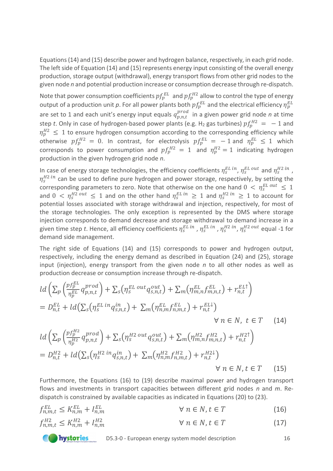Equations (14) and (15) describe power and hydrogen balance, respectively, in each grid node. The left side of Equation (14) and (15) represents energy input consisting of the overall energy production, storage output (withdrawal), energy transport flows from other grid nodes to the given node *n* and potential production increase or consumption decrease through re-dispatch.

Note that power consumption coefficients  $pf_p^{EL} \,$  and  $pf_p^{H2}$  allow to control the type of energy output of a production unit  $\rho.$  For all power plants both  $pf_p^{EL}$  and the electrical efficiency  $\eta_p^{EL}$ are set to 1 and each unit's energy input equals  $q_{p,n,t}^{prod}$  in a given power grid node *n* at time step t. Only in case of hydrogen-based power plants (e.g. H<sub>2</sub> gas turbines)  $pf_p^{H2} = -1$  and  $\eta_p^{H2}~\leq~1$  to ensure hydrogen consumption according to the corresponding efficiency while otherwise  $pf_p^{H2} = 0$ . In contrast, for electrolysis  $pf_p^{EL} = -1$  and  $\eta_p^{EL} \le 1$  which corresponds to power consumption and  $pf_p^{H2} = 1$  and  $\eta_p^{H2} = 1$  indicating hydrogen production in the given hydrogen grid node *n*.

In case of energy storage technologies, the efficiency coefficients  $\eta_s^{EL\ in}$ ,  $\eta_s^{EL\ out}$  and  $\eta_s^{H2\ in}$  ,  $\eta_S^{H2~in}$  can be used to define pure hydrogen and power storage, respectively, by setting the corresponding parameters to zero. Note that otherwise on the one hand  $0 \, < \, \eta_S^{EL\, out} \, \leq \, 1$ and  $0 < \eta_s^{H2 \text{ out}} \leq 1$  and on the other hand  $\eta_s^{EL \text{ in}} \geq 1$  and  $\eta_s^{H2 \text{ in}} \geq 1$  to account for potential losses associated with storage withdrawal and injection, respectively, for most of the storage technologies. The only exception is represented by the DMS where storage injection corresponds to demand decrease and storage withdrawal to demand increase in a given time step t. Hence, all efficiency coefficients  $\eta_s^{EL\ in}$  ,  $\eta_s^{EL\ in}$  ,  $\eta_s^{H2\ in}$ ,  $\eta_s^{H2\ out}$  equal -1 for demand side management.

The right side of Equations (14) and (15) corresponds to power and hydrogen output, respectively, including the energy demand as described in Equation (24) and (25), storage input (injection), energy transport from the given node *n* to all other nodes as well as production decrease or consumption increase through re-dispatch.

$$
ld\left(\sum_{p} \left(\frac{pf_{p}^{EL}}{\eta_{p}^{EL}} q_{p,n,t}^{prod}\right) + \sum_{s} \left(\eta_{s}^{EL} out q_{s,n,t}^{out}\right) + \sum_{m} \left(\eta_{m,n}^{EL} f_{m,n,t}^{EL}\right) + r_{n,t}^{EL^{\dagger}}\right)
$$
\n
$$
= D_{n,t}^{EL} + ld\left(\sum_{s} \left(\eta_{s}^{EL} in q_{s,n,t}^{in}\right) + \sum_{m} \left(\eta_{n,m}^{EL} f_{n,m,t}^{EL}\right) + r_{n,t}^{EL^{\dagger}}\right)
$$
\n
$$
\forall n \in N, t \in T \quad (14)
$$
\n
$$
ld\left(\sum_{p} \left(\frac{pf_{p}^{H2}}{\eta_{p}^{H2}} q_{p,n,t}^{prod}\right) + \sum_{s} \left(\eta_{s}^{H2} out q_{s,n,t}^{out}\right) + \sum_{m} \left(\eta_{m,n}^{H2} f_{m,n,t}^{H2}\right) + r_{n,t}^{H2^{\dagger}}\right)
$$
\n
$$
= D_{n,t}^{H2} + ld\left(\sum_{s} \left(\eta_{s}^{H2} in q_{s,n,t}^{in}\right) + \sum_{m} \left(\eta_{n,m}^{H2} f_{n,m,t}^{H2}\right) + r_{n,t}^{H2^{\dagger}}\right)
$$
\n
$$
\forall n \in N, t \in T \quad (15)
$$

Furthermore, the Equations (16) to (19) describe maximal power and hydrogen transport flows and investments in transport capacities between different grid nodes *n* and *m*. Redispatch is constrained by available capacities as indicated in Equations (20) to (23).

- $f_{n,m,t}^{EL} \leq K_{n,m}^{EL} + I_{n,m}^{EL}$  $\forall n \in N, t \in T$  (16)
- $f_{n,m,t}^{H2} \leq K_{n,m}^{H2} + I_{n,m}^{H2}$  $\forall n \in N, t \in T$  (17)

**hystories** D5.3-0 - European energy system model description 16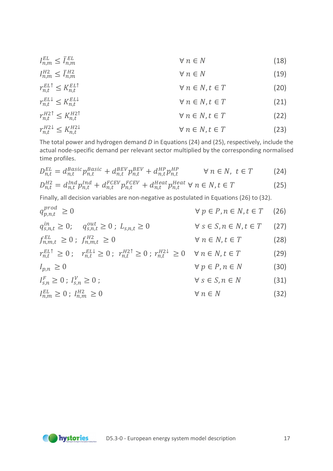$$
I_{n,m}^{EL} \le \bar{I}_{n,m}^{EL} \qquad \qquad \forall \ n \in N \tag{18}
$$

$$
I_{n,m}^{H2} \le \bar{I}_{n,m}^{H2} \qquad \qquad \forall \ n \in N \tag{19}
$$

$$
r_{n,t}^{EL\uparrow} \le K_{n,t}^{EL\uparrow} \qquad \qquad \forall \ n \in N, t \in T \tag{20}
$$

$$
r_{n,t}^{EL\downarrow} \le K_{n,t}^{EL\downarrow} \qquad \qquad \forall \ n \in N, t \in T \tag{21}
$$

$$
r_{n,t}^{H2\uparrow} \le K_{n,t}^{H2\uparrow} \qquad \qquad \forall \ n \in N, t \in T \tag{22}
$$

$$
r_{n,t}^{H2\downarrow} \le K_{n,t}^{H2\downarrow} \qquad \qquad \forall \ n \in N, t \in T \tag{23}
$$

The total power and hydrogen demand *D* in Equations (24) and (25), respectively, include the actual node-specific demand per relevant sector multiplied by the corresponding normalised time profiles.

$$
D_{n,t}^{EL} = d_{n,t}^{Basic} p_{n,t}^{Basic} + d_{n,t}^{BEV} p_{n,t}^{BEV} + d_{n,t}^{HP} p_{n,t}^{HP} \qquad \forall n \in N, t \in T
$$
 (24)

$$
D_{n,t}^{H2} = d_{n,t}^{Ind} p_{n,t}^{Ind} + d_{n,t}^{FCEV} p_{n,t}^{FCEV} + d_{n,t}^{Heat} p_{n,t}^{Heat} \ \forall \ n \in N, t \in T
$$
 (25)

Finally, all decision variables are non-negative as postulated in Equations (26) to (32).

$$
q_{p,n,t}^{prod} \ge 0 \qquad \qquad \forall p \in P, n \in N, t \in T \qquad (26)
$$
\n
$$
q_{s,n,t}^{in} \ge 0; \quad q_{s,n,t}^{out} \ge 0; L_{s,n,t} \ge 0 \qquad \qquad \forall s \in S, n \in N, t \in T \qquad (27)
$$
\n
$$
f_{n,m,t}^{EL} \ge 0; \quad f_{n,m,t}^{H2} \ge 0 \qquad \qquad \forall n \in N, t \in T \qquad (28)
$$
\n
$$
r_{n,t}^{EL1} \ge 0; \quad r_{n,t}^{EL1} \ge 0; \quad r_{n,t}^{H21} \ge 0; r_{n,t}^{H21} \ge 0 \qquad \qquad \forall n \in N, t \in T \qquad (29)
$$
\n
$$
I_{p,n} \ge 0 \qquad \qquad \forall p \in P, n \in N \qquad (30)
$$
\n
$$
I_{s,n}^{F} \ge 0; I_{s,n}^{V} \ge 0; \qquad \qquad \forall s \in S, n \in N \qquad (31)
$$
\n
$$
I_{n,m}^{EL} \ge 0; I_{n,m}^{H2} \ge 0 \qquad \qquad \forall n \in N \qquad (32)
$$

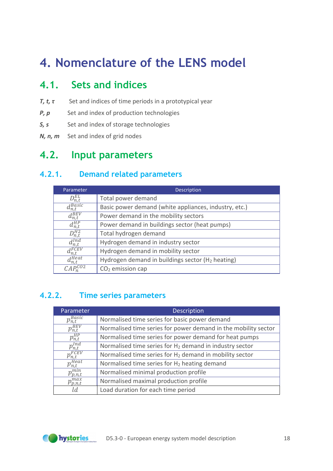# <span id="page-17-0"></span>**4. Nomenclature of the LENS model**

### <span id="page-17-1"></span>**4.1. Sets and indices**

- *T*, *t*, *τ* Set and indices of time periods in a prototypical year
- **P**, **p** Set and index of production technologies
- **S**, s Set and index of storage technologies
- *N, n, m* Set and index of grid nodes

### <span id="page-17-2"></span>**4.2. Input parameters**

#### **4.2.1. Demand related parameters**

| Parameter                  | Description                                                  |
|----------------------------|--------------------------------------------------------------|
| $D^{EL}_{n,t}$             | Total power demand                                           |
| $d_{n,t}^{Basic}$          | Basic power demand (white appliances, industry, etc.)        |
| $\overline{d^{BEV}_{n,t}}$ | Power demand in the mobility sectors                         |
| $d_{n,t}^{HP}$             | Power demand in buildings sector (heat pumps)                |
| $D^{H2}_{n,t}$             | Total hydrogen demand                                        |
| $\bar{d}^{Ind}_{n,t}$      | Hydrogen demand in industry sector                           |
| $d_{n,t}^{FCEV}$           | Hydrogen demand in mobility sector                           |
| $d_{n,t}^{Heat}$           | Hydrogen demand in buildings sector (H <sub>2</sub> heating) |
| $CAP_n^{CO2}$              | $CO2$ emission cap                                           |

#### **4.2.2. Time series parameters**

| Parameter                   | <b>Description</b>                                                  |
|-----------------------------|---------------------------------------------------------------------|
| $p_{n,t}^{Basic}$           | Normalised time series for basic power demand                       |
| $\overline{p_{n,t}^{BEV}}$  | Normalised time series for power demand in the mobility sector      |
| $p_{n,t}^{HP}$              | Normalised time series for power demand for heat pumps              |
| $\overline{p_{n,t}^{Ind}}$  | Normalised time series for H <sub>2</sub> demand in industry sector |
| $p_{n,t}^{FCEV}$            | Normalised time series for H <sub>2</sub> demand in mobility sector |
| $\overline{p_{n,t}^{Heat}}$ | Normalised time series for H <sub>2</sub> heating demand            |
| $p_{p,n,t}^{min}$           | Normalised minimal production profile                               |
| $p_{p,n,t}^{max}$           | Normalised maximal production profile                               |
| ld                          | Load duration for each time period                                  |

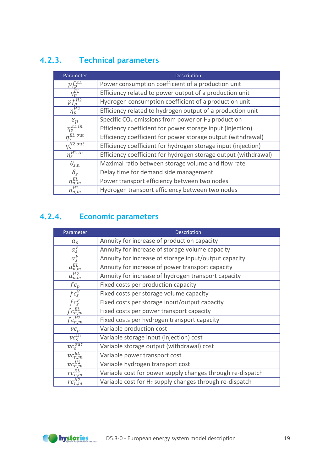#### **4.2.3. Technical parameters**

| Parameter                              | Description                                                                |
|----------------------------------------|----------------------------------------------------------------------------|
| $pf_{p}^{EL}$                          | Power consumption coefficient of a production unit                         |
| $\overline{\eta^{EL}_p}$               | Efficiency related to power output of a production unit                    |
| $p_{\underline{f}p}^{\underline{f}H2}$ | Hydrogen consumption coefficient of a production unit                      |
| $\eta_p^{H2}$                          | Efficiency related to hydrogen output of a production unit                 |
| $\varepsilon_p$                        | Specific CO <sub>2</sub> emissions from power or H <sub>2</sub> production |
| $\eta_s^{\overbrace{EL}in}$            | Efficiency coefficient for power storage input (injection)                 |
| $\eta_{s}^{\overline{EL\ out}}$        | Efficiency coefficient for power storage output (withdrawal)               |
| $\eta_s^{\overline{H2~out}}$           | Efficiency coefficient for hydrogen storage input (injection)              |
| $\eta_s^{H2}$ in                       | Efficiency coefficient for hydrogen storage output (withdrawal)            |
| $\theta_{s,n}$                         | Maximal ratio between storage volume and flow rate                         |
| $\delta_{\rm s}$                       | Delay time for demand side management                                      |
| $\eta_{n,m}^{EL}$                      | Power transport efficiency between two nodes                               |
| $\lim m$                               | Hydrogen transport efficiency between two nodes                            |

#### **4.2.4. Economic parameters**

| Parameter                  | Description                                                         |
|----------------------------|---------------------------------------------------------------------|
| $a_p$                      | Annuity for increase of production capacity                         |
| $\overline{a_s^V}$         | Annuity for increase of storage volume capacity                     |
| $\overline{a_s^F}$         | Annuity for increase of storage input/output capacity               |
| $\overline{a_{n,m}^{EL}}$  | Annuity for increase of power transport capacity                    |
| $\overline{a_{n,m}^{H2}}$  | Annuity for increase of hydrogen transport capacity                 |
| $fc_p$                     | Fixed costs per production capacity                                 |
| $fc_s^V$                   | Fixed costs per storage volume capacity                             |
| $fc_s^F$                   | Fixed costs per storage input/output capacity                       |
| $\overline{c_{n,m}^{EL}}$  | Fixed costs per power transport capacity                            |
| $\overline{c_{n,m}^{H2}}$  | Fixed costs per hydrogen transport capacity                         |
| $vc_p$                     | Variable production cost                                            |
| $vc_s^{in}$                | Variable storage input (injection) cost                             |
| $vc_s^{out}$               | Variable storage output (withdrawal) cost                           |
| $vc^{EL}_{n,m}$            | Variable power transport cost                                       |
| $\overline{vc_{n,m}^{H2}}$ | Variable hydrogen transport cost                                    |
| $rc_{n,m}^{EL}$            | Variable cost for power supply changes through re-dispatch          |
| $r c_{n,m}$                | Variable cost for H <sub>2</sub> supply changes through re-dispatch |

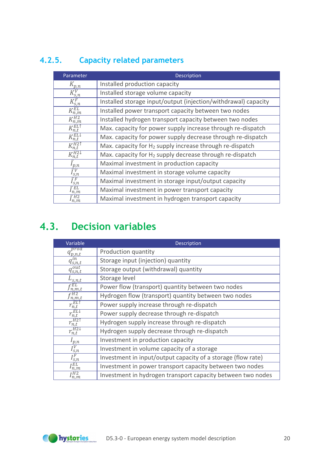| Parameter                           | Description                                                          |
|-------------------------------------|----------------------------------------------------------------------|
| $K_{p,n}$                           | Installed production capacity                                        |
| $K_{s,n}^V$                         | Installed storage volume capacity                                    |
| $K_{s,n}^F$                         | Installed storage input/output (injection/withdrawal) capacity       |
| $\overline{K_{n,m}^{EL}}$           | Installed power transport capacity between two nodes                 |
| $\overline{K^{H2}_{n,m}}$           | Installed hydrogen transport capacity between two nodes              |
| $K_{n,t}^{EL}$                      | Max. capacity for power supply increase through re-dispatch          |
| $\overline{K_{n,t}^{EL\downarrow}}$ | Max. capacity for power supply decrease through re-dispatch          |
| $\overline{\overline{H2}}$<br>n,t   | Max. capacity for H <sub>2</sub> supply increase through re-dispatch |
| rH2<br>$\tilde{n},\tilde{t}$        | Max. capacity for H <sub>2</sub> supply decrease through re-dispatch |
| p,n                                 | Maximal investment in production capacity                            |
| $\overline{\bar{I}_{s,n}^V}$        | Maximal investment in storage volume capacity                        |
| $\bar{I}^F_{s,n}$                   | Maximal investment in storage input/output capacity                  |
| $\bar{l}^{\,EL}_{n,m}$              | Maximal investment in power transport capacity                       |
| $\overline{H}$<br>n.m               | Maximal investment in hydrogen transport capacity                    |

### **4.2.5. Capacity related parameters**

### <span id="page-19-0"></span>**4.3. Decision variables**

| Variable                                 | Description                                                  |
|------------------------------------------|--------------------------------------------------------------|
| $\overline{prod}$                        | Production quantity                                          |
| $\frac{q_{p,n,t}^{HOM}}{q_{s,n,t}^{in}}$ | Storage input (injection) quantity                           |
| $\overline{q_{s,n,t}^{out}}$             | Storage output (withdrawal) quantity                         |
| $L_{s,n,t}$                              | Storage level                                                |
| $\overline{f_{n,m,t}^{EL}}$              | Power flow (transport) quantity between two nodes            |
| $\overline{f^{H2}_{n,m,t}}$              | Hydrogen flow (transport) quantity between two nodes         |
| $\frac{r_{n,t}^{EL1}}{r_{n,t}^{EL1}}$    | Power supply increase through re-dispatch                    |
|                                          | Power supply decrease through re-dispatch                    |
| $r_{n,t}^{H2}$                           | Hydrogen supply increase through re-dispatch                 |
| $r_{n,t}^{\overline{H2}}$                | Hydrogen supply decrease through re-dispatch                 |
| $1_{p,n}$                                | Investment in production capacity                            |
| $\overline{I_{s,n}^V}$                   | Investment in volume capacity of a storage                   |
| $I_{\underline{s},n}^{\overline{F}}$     | Investment in input/output capacity of a storage (flow rate) |
| $\overline{l_{n,m}^{EL}}$                | Investment in power transport capacity between two nodes     |
| $\overline{I_{n,m}^{H2}}$                | Investment in hydrogen transport capacity between two nodes  |

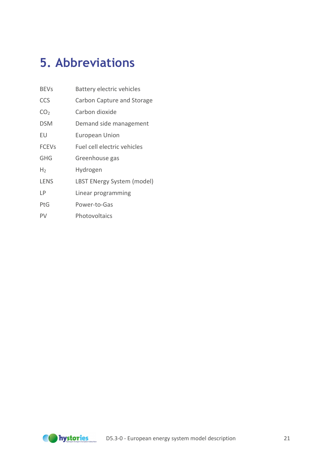# <span id="page-20-0"></span>**5. Abbreviations**

| <b>BEVs</b>             | Battery electric vehicles   |
|-------------------------|-----------------------------|
| <b>CCS</b>              | Carbon Capture and Storage  |
| CO <sub>2</sub>         | Carbon dioxide              |
| <b>DSM</b>              | Demand side management      |
| EU                      | <b>European Union</b>       |
| <b>FCEV<sub>S</sub></b> | Fuel cell electric vehicles |
| GHG                     | Greenhouse gas              |
| H <sub>2</sub>          | Hydrogen                    |
| <b>LENS</b>             | LBST ENergy System (model)  |
| LP                      | Linear programming          |
| PtG                     | Power-to-Gas                |
| PV                      | Photovoltaics               |

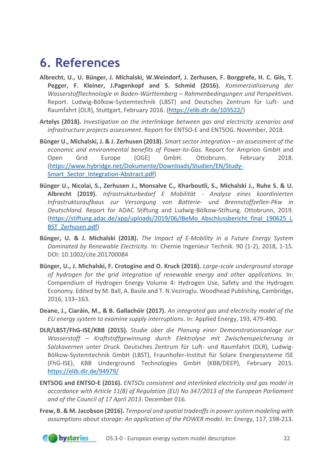# <span id="page-21-0"></span>**6. References**

- **Albrecht, U., U. Bünger, J. Michalski, W.Weindorf, J. Zerhusen, F. Borggrefe, H. C. Gils, T. Pegger, F. Kleiner, J.Pagenkopf and S. Schmid (2016).** *Kommerzialisierung der Wasserstofftechnologie in Baden-Württemberg – Rahmenbedingungen und Perspektiven.* Report. Ludwig-Bölkow-Systemtechnik (LBST) and Deutsches Zentrum für Luft- und Raumfahrt (DLR), Stuttgart, February 2016. [\(https://elib.dlr.de/103522/\)](https://elib.dlr.de/103522/)
- **Artelys (2018).** *Investigation on the interlinkage between gas and electricity scenarios and infrastructure projects assessment*. Report for ENTSO-E and ENTSOG. November, 2018.
- **Bünger U., Michalski, J. & J. Zerhusen (2018)**. *Smart sector integration – an assessment of the economic and environmental benefits of Power-to-Gas.* Report for Amprion GmbH and Open Grid Europe (OGE) GmbH. Ottobrunn, February 2018. [\(https://www.hybridge.net/Dokumente/Downloads/Studien/EN/Study-](https://www.hybridge.net/Dokumente/Downloads/Studien/EN/Study-Smart_Sector_Integration-Abstract.pdf)Smart Sector Integration-Abstract.pdf)
- **Bünger U., Nicolai, S., Zerhusen J., Monsalve C., Kharboutli, S., Michalski J., Ruhe S. & U. Albrecht (2019).** *Infrastrukturbedarf E Mobilität - Analyse eines koordinierten Infrastrukturaufbaus zur Versorgung von Batterie- und Brennstoffzellen-Pkw in Deutschland.* Report for ADAC Stiftung and Ludwig-Bölkow-Stiftung. Ottobrunn, 2019. [\(https://stiftung.adac.de/app/uploads/2019/06/IBeMo\\_Abschlussbericht\\_final\\_190625\\_L](https://stiftung.adac.de/app/uploads/2019/06/IBeMo_Abschlussbericht_final_190625_LBST_Zerhusen.pdf) [BST\\_Zerhusen.pdf\)](https://stiftung.adac.de/app/uploads/2019/06/IBeMo_Abschlussbericht_final_190625_LBST_Zerhusen.pdf)
- **Bünger, U. & J. Michalski (2018).** *The Impact of E-Mobility in a Future Energy System Dominated by Renewable Electricity.* In: Chemie Ingenieur Technik. 90 (1-2), 2018, 1-15. DOI: 10.1002/cite.201700084
- **Bünger, U., J. Michalski, F. Crotogino and O. Kruck (2016).** *Large-scale underground storage of hydrogen for the grid integration of renewable energy and other applications.* In: Compendium of Hydrogen Energy Volume 4: Hydrogen Use, Safety and the Hydrogen Economy. Edited by M. Ball, A. Basile and T. N.Veziroglu. Woodhead Publishing, Cambridge, 2016, 133–163.
- **Deane, J., Ciaráin, M., & B. Gallachóir (2017).** *An integrated gas and electricity model of the EU energy system to examine supply interruptions*. In: Applied Energy, 193, 479-490.
- **DLR/LBST/FhG-ISE/KBB (2015).** *Studie über die Planung einer Demonstrationsanlage zur Wasserstoff – Kraftstoffgewinnung durch Elektrolyse mit Zwischenspeicherung in Salzkavernen unter Druck.* Deutsches Zentrum für Luft- und Raumfahrt (DLR), Ludwig-Bölkow-Systemtechnik GmbH (LBST), Fraunhofer-Institut für Solare Energiesysteme ISE (FhG-ISE), KBB Underground Technologies GmbH (KBB/DEEP), February 2015. <https://elib.dlr.de/94979/>
- **ENTSOG and ENTSO-E (2016).** *ENTSOs consistent and interlinked electricity and gas model in accordance with Article 11(8) of Regulation (EU) No 347/2013 of the European Parliament and of the Council of 17 April 2013*. December 016.
- **Frew, B. & M. Jacobson (2016).** *Temporal and spatial tradeoffs in power system modeling with assumptions about storage: An application of the POWER model*. In: Energy, 117, 198-213.

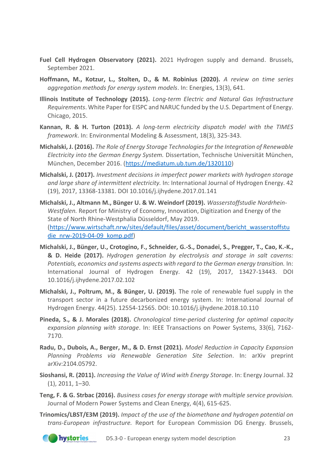- **Fuel Cell Hydrogen Observatory (2021).** 2021 Hydrogen supply and demand. Brussels, September 2021.
- **Hoffmann, M., Kotzur, L., Stolten, D., & M. Robinius (2020).** *A review on time series aggregation methods for energy system models*. In: Energies, 13(3), 641.
- **Illinois Institute of Technology (2015).** *Long-term Electric and Natural Gas Infrastructure Requirements*. White Paper for EISPC and NARUC funded by the U.S. Department of Energy. Chicago, 2015.
- **Kannan, R. & H. Turton (2013).** *A long-term electricity dispatch model with the TIMES framework*. In: Environmental Modeling & Assessment, 18(3), 325-343.
- **Michalski, J. (2016).** *The Role of Energy Storage Technologies for the Integration of Renewable Electricity into the German Energy System.* Dissertation, Technische Universität München, München, December 2016. [\(https://mediatum.ub.tum.de/1320110\)](https://mediatum.ub.tum.de/1320110)
- **Michalski, J. (2017).** *Investment decisions in imperfect power markets with hydrogen storage and large share of intermittent electricity.* In: International Journal of Hydrogen Energy. 42 (19), 2017, 13368-13381. DOI 10.1016/j.ijhydene.2017.01.141
- **Michalski, J., Altmann M., Bünger U. & W. Weindorf (2019).** *Wasserstoffstudie Nordrhein-Westfalen.* Report for Ministry of Economy, Innovation, Digitization and Energy of the State of North Rhine-Westphalia Düsseldorf, May 2019. [\(https://www.wirtschaft.nrw/sites/default/files/asset/document/bericht\\_wasserstoffstu](https://www.wirtschaft.nrw/sites/default/files/asset/document/bericht_wasserstoffstudie_nrw-2019-04-09_komp.pdf) [die\\_nrw-2019-04-09\\_komp.pdf\)](https://www.wirtschaft.nrw/sites/default/files/asset/document/bericht_wasserstoffstudie_nrw-2019-04-09_komp.pdf)
- **Michalski, J., Bünger, U., Crotogino, F., Schneider, G.-S., Donadei, S., Pregger, T., Cao, K.-K., & D. Heide (2017).** *Hydrogen generation by electrolysis and storage in salt caverns: Potentials, economics and systems aspects with regard to the German energy transition.* In: International Journal of Hydrogen Energy. 42 (19), 2017, 13427-13443. DOI 10.1016/j.ijhydene.2017.02.102
- **Michalski, J., Poltrum, M., & Bünger, U. (2019).** The role of renewable fuel supply in the transport sector in a future decarbonized energy system. In: International Journal of Hydrogen Energy. 44(25). 12554-12565. DOI: 10.1016/j.ijhydene.2018.10.110
- **Pineda, S., & J. Morales (2018).** *Chronological time-period clustering for optimal capacity expansion planning with storage*. In: IEEE Transactions on Power Systems, 33(6), 7162- 7170.
- **Radu, D., Dubois, A., Berger, M., & D. Ernst (2021).** *Model Reduction in Capacity Expansion Planning Problems via Renewable Generation Site Selection*. In: arXiv preprint arXiv:2104.05792.
- **Sioshansi, R. (2011).** *Increasing the Value of Wind with Energy Storage*. In: Energy Journal. 32 (1), 2011, 1–30.
- **Teng, F. & G. Strbac (2016).** *Business cases for energy storage with multiple service provision.* Journal of Modern Power Systems and Clean Energy, 4(4), 615-625.
- **Trinomics/LBST/E3M (2019).** *Impact of the use of the biomethane and hydrogen potential on trans-European infrastructure.* Report for European Commission DG Energy. Brussels,

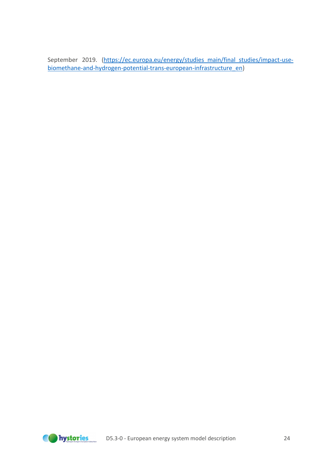September 2019. [\(https://ec.europa.eu/energy/studies\\_main/final\\_studies/impact-use](https://ec.europa.eu/energy/studies_main/final_studies/impact-use-biomethane-and-hydrogen-potential-trans-european-infrastructure_en)[biomethane-and-hydrogen-potential-trans-european-infrastructure\\_en\)](https://ec.europa.eu/energy/studies_main/final_studies/impact-use-biomethane-and-hydrogen-potential-trans-european-infrastructure_en)

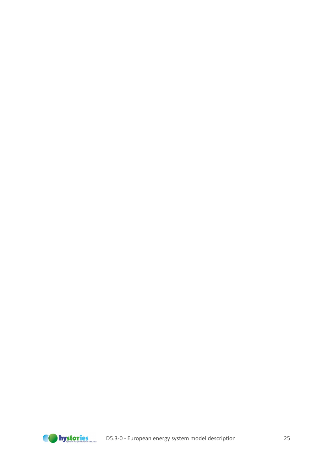